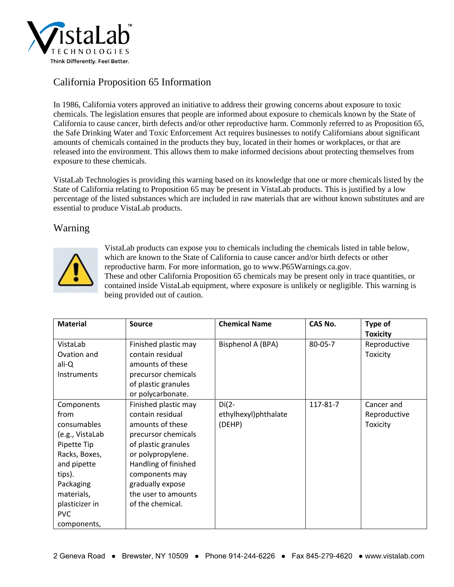

## California Proposition 65 Information

In 1986, California voters approved an initiative to address their growing concerns about exposure to toxic chemicals. The legislation ensures that people are informed about exposure to chemicals known by the State of California to cause cancer, birth defects and/or other reproductive harm. Commonly referred to as Proposition 65, the Safe Drinking Water and Toxic Enforcement Act requires businesses to notify Californians about significant amounts of chemicals contained in the products they buy, located in their homes or workplaces, or that are released into the environment. This allows them to make informed decisions about protecting themselves from exposure to these chemicals.

VistaLab Technologies is providing this warning based on its knowledge that one or more chemicals listed by the State of California relating to Proposition 65 may be present in VistaLab products. This is justified by a low percentage of the listed substances which are included in raw materials that are without known substitutes and are essential to produce VistaLab products.

## Warning



VistaLab products can expose you to chemicals including the chemicals listed in table below, which are known to the State of California to cause cancer and/or birth defects or other reproductive harm. For more information, go to www.P65Warnings.ca.gov. These and other California Proposition 65 chemicals may be present only in trace quantities, or contained inside VistaLab equipment, where exposure is unlikely or negligible. This warning is being provided out of caution.

| <b>Material</b>                                                                                                                                                                         | <b>Source</b>                                                                                                                                                                                                                            | <b>Chemical Name</b>                      | <b>CAS No.</b> | Type of<br><b>Toxicity</b>             |
|-----------------------------------------------------------------------------------------------------------------------------------------------------------------------------------------|------------------------------------------------------------------------------------------------------------------------------------------------------------------------------------------------------------------------------------------|-------------------------------------------|----------------|----------------------------------------|
| VistaLab<br>Ovation and<br>ali-Q<br>Instruments                                                                                                                                         | Finished plastic may<br>contain residual<br>amounts of these<br>precursor chemicals<br>of plastic granules<br>or polycarbonate.                                                                                                          | Bisphenol A (BPA)                         | 80-05-7        | Reproductive<br>Toxicity               |
| Components<br>from<br>consumables<br>(e.g., VistaLab<br>Pipette Tip<br>Racks, Boxes,<br>and pipette<br>tips).<br>Packaging<br>materials,<br>plasticizer in<br><b>PVC</b><br>components, | Finished plastic may<br>contain residual<br>amounts of these<br>precursor chemicals<br>of plastic granules<br>or polypropylene.<br>Handling of finished<br>components may<br>gradually expose<br>the user to amounts<br>of the chemical. | $Di(2-$<br>ethylhexyl)phthalate<br>(DEHP) | 117-81-7       | Cancer and<br>Reproductive<br>Toxicity |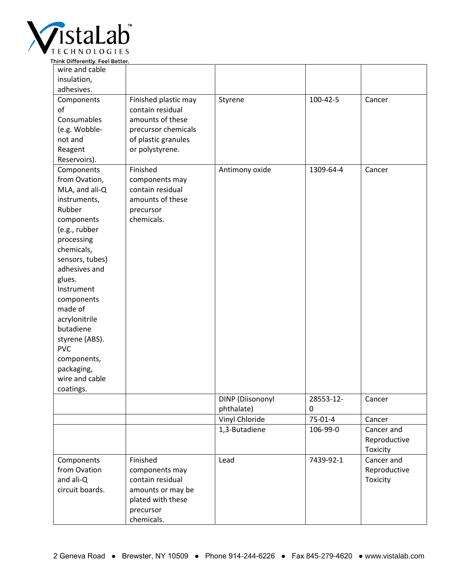

| Think Differently. Feel Better. |                      |                  |           |              |
|---------------------------------|----------------------|------------------|-----------|--------------|
| wire and cable                  |                      |                  |           |              |
| insulation,                     |                      |                  |           |              |
| adhesives.                      |                      |                  |           |              |
| Components                      | Finished plastic may | Styrene          | 100-42-5  | Cancer       |
| of                              | contain residual     |                  |           |              |
| Consumables                     | amounts of these     |                  |           |              |
| (e.g. Wobble-                   | precursor chemicals  |                  |           |              |
| not and                         | of plastic granules  |                  |           |              |
| Reagent                         | or polystyrene.      |                  |           |              |
| Reservoirs).                    |                      |                  |           |              |
| Components                      | Finished             | Antimony oxide   | 1309-64-4 | Cancer       |
| from Ovation,                   | components may       |                  |           |              |
| MLA, and ali-Q                  | contain residual     |                  |           |              |
| instruments,                    | amounts of these     |                  |           |              |
| Rubber                          | precursor            |                  |           |              |
| components                      | chemicals.           |                  |           |              |
| (e.g., rubber                   |                      |                  |           |              |
| processing                      |                      |                  |           |              |
| chemicals,                      |                      |                  |           |              |
| sensors, tubes)                 |                      |                  |           |              |
| adhesives and                   |                      |                  |           |              |
| glues.                          |                      |                  |           |              |
| Instrument                      |                      |                  |           |              |
|                                 |                      |                  |           |              |
| components<br>made of           |                      |                  |           |              |
|                                 |                      |                  |           |              |
| acrylonitrile<br>butadiene      |                      |                  |           |              |
|                                 |                      |                  |           |              |
| styrene (ABS).                  |                      |                  |           |              |
| <b>PVC</b>                      |                      |                  |           |              |
| components,                     |                      |                  |           |              |
| packaging,                      |                      |                  |           |              |
| wire and cable                  |                      |                  |           |              |
| coatings.                       |                      |                  |           |              |
|                                 |                      | DINP (Diisononyl | 28553-12- | Cancer       |
|                                 |                      | phthalate)       | 0         |              |
|                                 |                      | Vinyl Chloride   | 75-01-4   | Cancer       |
|                                 |                      | 1,3-Butadiene    | 106-99-0  | Cancer and   |
|                                 |                      |                  |           | Reproductive |
|                                 |                      |                  |           | Toxicity     |
| Components                      | Finished             | Lead             | 7439-92-1 | Cancer and   |
| from Ovation                    | components may       |                  |           | Reproductive |
| and ali-Q                       | contain residual     |                  |           | Toxicity     |
| circuit boards.                 | amounts or may be    |                  |           |              |
|                                 | plated with these    |                  |           |              |
|                                 | precursor            |                  |           |              |
|                                 | chemicals.           |                  |           |              |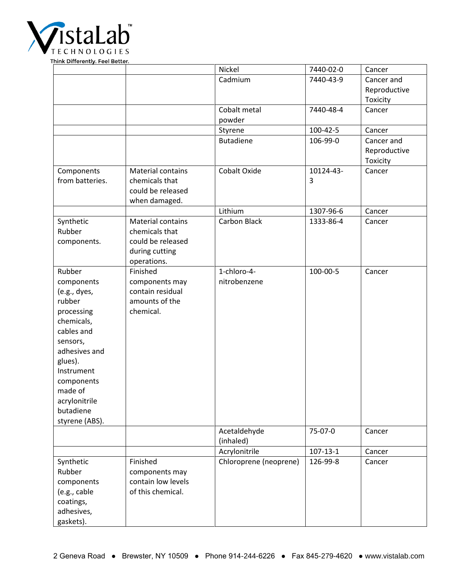

|                           |                          | Nickel                 | 7440-02-0      | Cancer       |
|---------------------------|--------------------------|------------------------|----------------|--------------|
|                           |                          | Cadmium                | 7440-43-9      | Cancer and   |
|                           |                          |                        |                | Reproductive |
|                           |                          |                        |                | Toxicity     |
|                           |                          | Cobalt metal           | 7440-48-4      | Cancer       |
|                           |                          | powder                 |                |              |
|                           |                          | Styrene                | 100-42-5       | Cancer       |
|                           |                          | <b>Butadiene</b>       | 106-99-0       | Cancer and   |
|                           |                          |                        |                | Reproductive |
|                           |                          |                        |                | Toxicity     |
| Components                | <b>Material contains</b> | Cobalt Oxide           | 10124-43-      | Cancer       |
| from batteries.           | chemicals that           |                        | 3              |              |
|                           | could be released        |                        |                |              |
|                           | when damaged.            |                        |                |              |
|                           |                          | Lithium                | 1307-96-6      | Cancer       |
| Synthetic                 | <b>Material contains</b> | <b>Carbon Black</b>    | 1333-86-4      | Cancer       |
| Rubber                    | chemicals that           |                        |                |              |
| components.               | could be released        |                        |                |              |
|                           | during cutting           |                        |                |              |
|                           | operations.              |                        |                |              |
| Rubber                    | Finished                 | 1-chloro-4-            | 100-00-5       | Cancer       |
| components                | components may           | nitrobenzene           |                |              |
| (e.g., dyes,              | contain residual         |                        |                |              |
| rubber                    | amounts of the           |                        |                |              |
| processing                | chemical.                |                        |                |              |
| chemicals,<br>cables and  |                          |                        |                |              |
|                           |                          |                        |                |              |
| sensors,<br>adhesives and |                          |                        |                |              |
| glues).                   |                          |                        |                |              |
| Instrument                |                          |                        |                |              |
| components                |                          |                        |                |              |
| made of                   |                          |                        |                |              |
| acrylonitrile             |                          |                        |                |              |
| butadiene                 |                          |                        |                |              |
| styrene (ABS).            |                          |                        |                |              |
|                           |                          | Acetaldehyde           | 75-07-0        | Cancer       |
|                           |                          | (inhaled)              |                |              |
|                           |                          | Acrylonitrile          | $107 - 13 - 1$ | Cancer       |
| Synthetic                 | Finished                 | Chloroprene (neoprene) | 126-99-8       | Cancer       |
| Rubber                    | components may           |                        |                |              |
| components                | contain low levels       |                        |                |              |
| (e.g., cable              | of this chemical.        |                        |                |              |
| coatings,                 |                          |                        |                |              |
| adhesives,                |                          |                        |                |              |
| gaskets).                 |                          |                        |                |              |